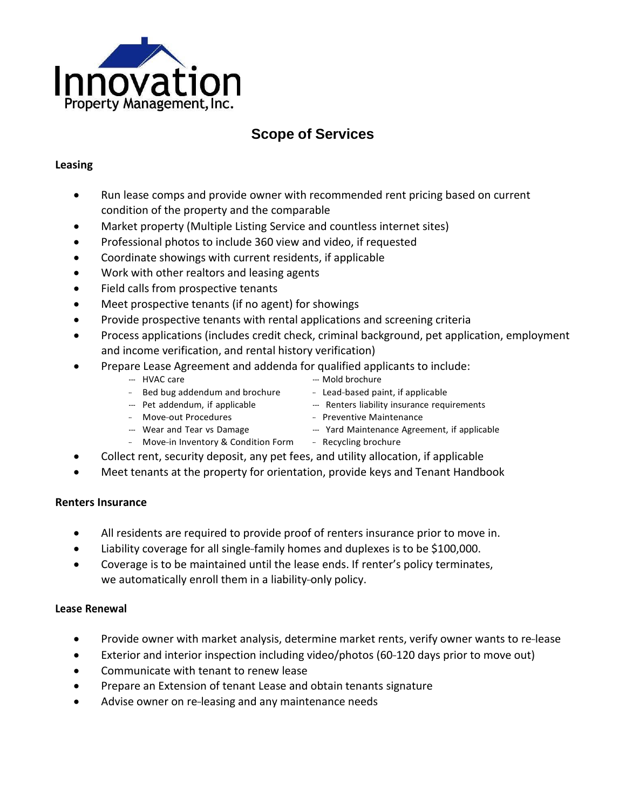

# **Scope of Services**

#### **Leasing**

- Run lease comps and provide owner with recommended rent pricing based on current condition of the property and the comparable
- Market property (Multiple Listing Service and countless internet sites)
- Professional photos to include 360 view and video, if requested
- Coordinate showings with current residents, if applicable
- Work with other realtors and leasing agents
- Field calls from prospective tenants
- Meet prospective tenants (if no agent) for showings
- Provide prospective tenants with rental applications and screening criteria
- Process applications (includes credit check, criminal background, pet application, employment and income verification, and rental history verification)
- Prepare Lease Agreement and addenda for qualified applicants to include:

- -- HVAC care  $-$  Mold brochure
- Bed bug addendum and brochure Lead-based paint, if applicable
- 
- --- Pet addendum, if applicable --- Renters liability insurance requirements
- Move-out Procedures Preventive Maintenance
	-
- Wear and Tear vs Damage Yard Maintenance Agreement, if applicable
- Move-in Inventory & Condition Form Recycling brochure
- Collect rent, security deposit, any pet fees, and utility allocation, if applicable
- Meet tenants at the property for orientation, provide keys and Tenant Handbook

#### **Renters Insurance**

- All residents are required to provide proof of renters insurance prior to move in.
- Liability coverage for all single-family homes and duplexes is to be \$100,000.
- Coverage is to be maintained until the lease ends. If renter's policy terminates, we automatically enroll them in a liability-only policy.

#### **Lease Renewal**

- Provide owner with market analysis, determine market rents, verify owner wants to re-lease
- Exterior and interior inspection including video/photos (60-120 days prior to move out)
- Communicate with tenant to renew lease
- Prepare an Extension of tenant Lease and obtain tenants signature
- Advise owner on re-leasing and any maintenance needs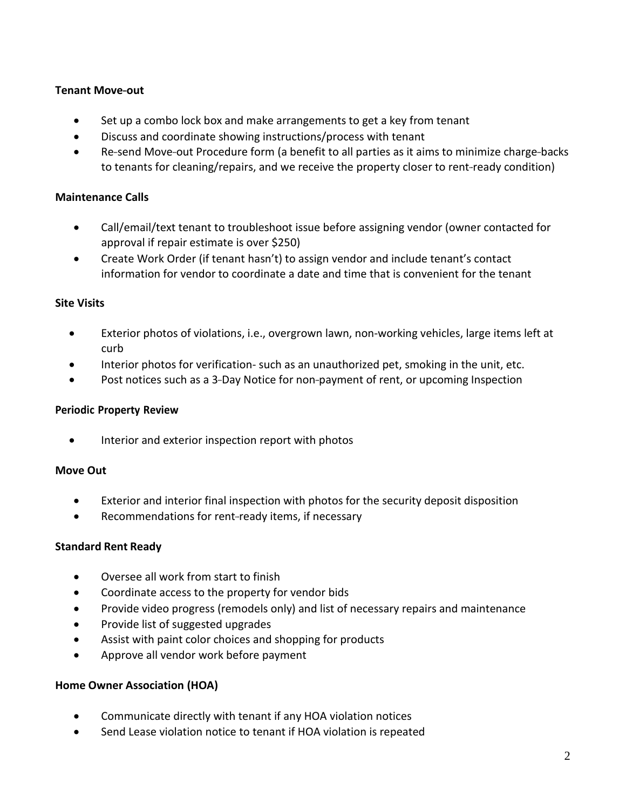#### **Tenant Move-out**

- Set up a combo lock box and make arrangements to get a key from tenant
- Discuss and coordinate showing instructions/process with tenant
- Re-send Move-out Procedure form (a benefit to all parties as it aims to minimize charge-backs to tenants for cleaning/repairs, and we receive the property closer to rent-ready condition)

## **Maintenance Calls**

- Call/email/text tenant to troubleshoot issue before assigning vendor (owner contacted for approval if repair estimate is over \$250)
- Create Work Order (if tenant hasn't) to assign vendor and include tenant's contact information for vendor to coordinate a date and time that is convenient for the tenant

#### **Site Visits**

- Exterior photos of violations, i.e., overgrown lawn, non-working vehicles, large items left at curb
- Interior photos for verification- such as an unauthorized pet, smoking in the unit, etc.
- Post notices such as a 3-Day Notice for non-payment of rent, or upcoming Inspection

#### **Periodic Property Review**

• Interior and exterior inspection report with photos

#### **Move Out**

- Exterior and interior final inspection with photos for the security deposit disposition
- Recommendations for rent-ready items, if necessary

#### **Standard Rent Ready**

- Oversee all work from start to finish
- Coordinate access to the property for vendor bids
- Provide video progress (remodels only) and list of necessary repairs and maintenance
- Provide list of suggested upgrades
- Assist with paint color choices and shopping for products
- Approve all vendor work before payment

#### **Home Owner Association (HOA)**

- Communicate directly with tenant if any HOA violation notices
- Send Lease violation notice to tenant if HOA violation is repeated